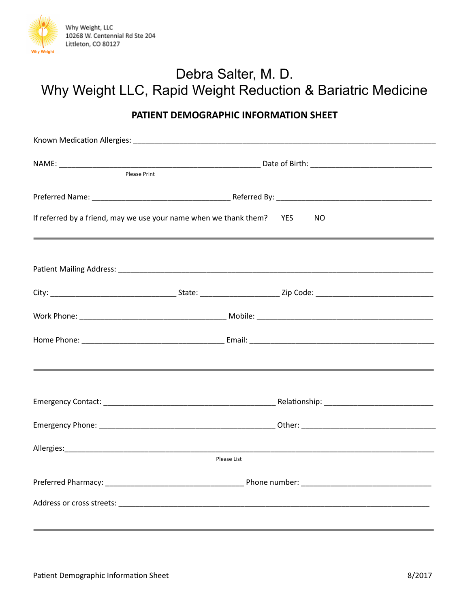

## Debra Salter, M. D. Why Weight LLC, Rapid Weight Reduction & Bariatric Medicine

## **PATIENT DEMOGRAPHIC INFORMATION SHEET**

| Please Print |                                                                              |
|--------------|------------------------------------------------------------------------------|
|              |                                                                              |
|              | If referred by a friend, may we use your name when we thank them? YES<br>NO. |
|              |                                                                              |
|              |                                                                              |
|              |                                                                              |
|              |                                                                              |
|              |                                                                              |
|              |                                                                              |
|              |                                                                              |
|              |                                                                              |
|              | Please List                                                                  |
|              |                                                                              |
|              |                                                                              |
|              |                                                                              |